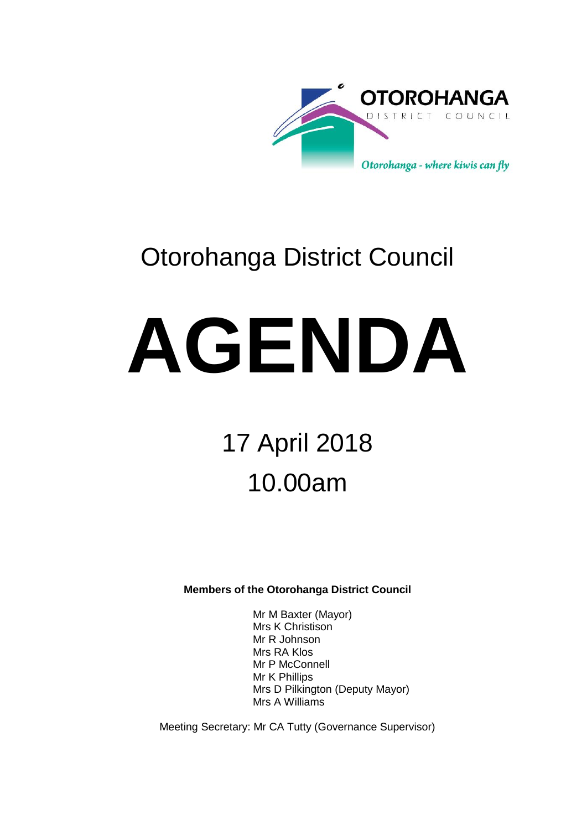

# Otorohanga District Council

# **AGENDA**

# 17 April 2018 10.00am

**Members of the Otorohanga District Council**

Mr M Baxter (Mayor) Mrs K Christison Mr R Johnson Mrs RA Klos Mr P McConnell Mr K Phillips Mrs D Pilkington (Deputy Mayor) Mrs A Williams

Meeting Secretary: Mr CA Tutty (Governance Supervisor)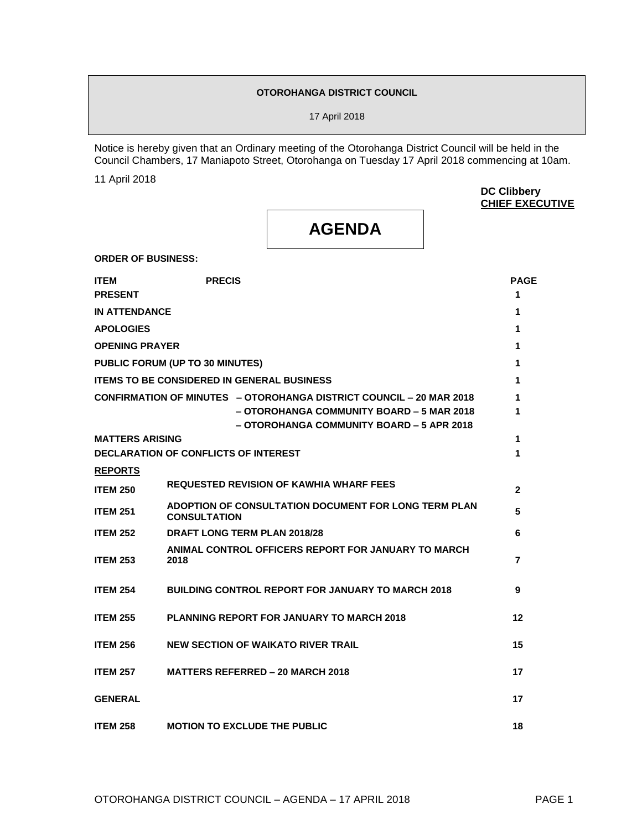#### **OTOROHANGA DISTRICT COUNCIL**

17 April 2018

Notice is hereby given that an Ordinary meeting of the Otorohanga District Council will be held in the Council Chambers, 17 Maniapoto Street, Otorohanga on Tuesday 17 April 2018 commencing at 10am.

11 April 2018

**DC Clibbery CHIEF EXECUTIVE**

## **AGENDA**

**ORDER OF BUSINESS:**

| <b>ITEM</b><br><b>PRESENT</b> | <b>PRECIS</b>                                                                                                                                                 | <b>PAGE</b><br>1 |
|-------------------------------|---------------------------------------------------------------------------------------------------------------------------------------------------------------|------------------|
| <b>IN ATTENDANCE</b>          |                                                                                                                                                               | 1                |
| <b>APOLOGIES</b>              |                                                                                                                                                               | 1                |
| <b>OPENING PRAYER</b>         |                                                                                                                                                               | 1                |
|                               | PUBLIC FORUM (UP TO 30 MINUTES)                                                                                                                               | 1                |
|                               | <b>ITEMS TO BE CONSIDERED IN GENERAL BUSINESS</b>                                                                                                             | 1                |
|                               | CONFIRMATION OF MINUTES - OTOROHANGA DISTRICT COUNCIL - 20 MAR 2018<br>- OTOROHANGA COMMUNITY BOARD - 5 MAR 2018<br>– OTOROHANGA COMMUNITY BOARD – 5 APR 2018 | 1<br>1           |
| <b>MATTERS ARISING</b>        |                                                                                                                                                               | 1                |
|                               | DECLARATION OF CONFLICTS OF INTEREST                                                                                                                          | 1                |
| <b>REPORTS</b>                |                                                                                                                                                               |                  |
| <b>ITEM 250</b>               | <b>REQUESTED REVISION OF KAWHIA WHARF FEES</b>                                                                                                                | $\mathbf{2}$     |
| <b>ITEM 251</b>               | ADOPTION OF CONSULTATION DOCUMENT FOR LONG TERM PLAN<br><b>CONSULTATION</b>                                                                                   | 5                |
| <b>ITEM 252</b>               | <b>DRAFT LONG TERM PLAN 2018/28</b>                                                                                                                           | 6                |
| <b>ITEM 253</b>               | ANIMAL CONTROL OFFICERS REPORT FOR JANUARY TO MARCH<br>2018                                                                                                   | 7                |
| <b>ITEM 254</b>               | <b>BUILDING CONTROL REPORT FOR JANUARY TO MARCH 2018</b>                                                                                                      | 9                |
| <b>ITEM 255</b>               | <b>PLANNING REPORT FOR JANUARY TO MARCH 2018</b>                                                                                                              | 12               |
| <b>ITEM 256</b>               | <b>NEW SECTION OF WAIKATO RIVER TRAIL</b>                                                                                                                     | 15               |
| <b>ITEM 257</b>               | <b>MATTERS REFERRED - 20 MARCH 2018</b>                                                                                                                       | 17               |
| <b>GENERAL</b>                |                                                                                                                                                               | 17               |
| <b>ITEM 258</b>               | <b>MOTION TO EXCLUDE THE PUBLIC</b>                                                                                                                           | 18               |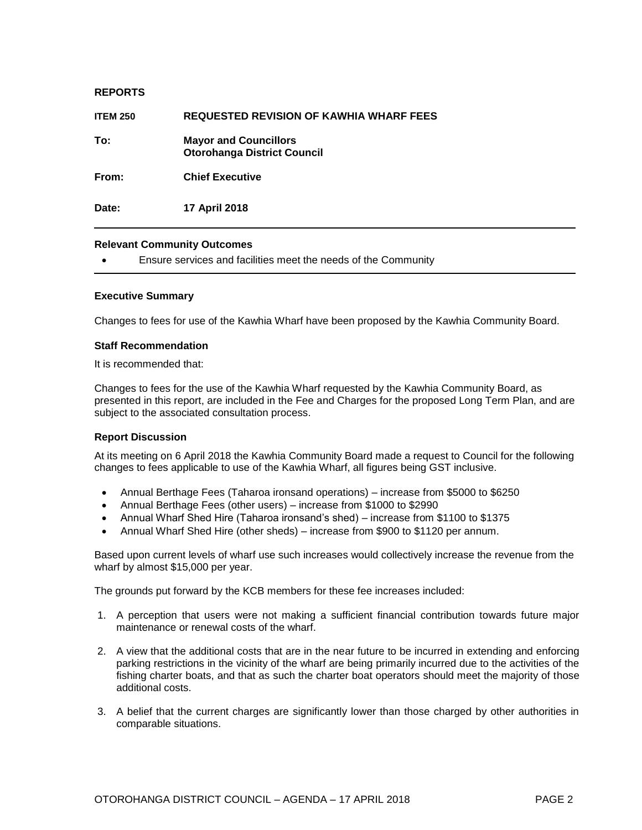| <b>REPORTS</b>  |                                                                    |
|-----------------|--------------------------------------------------------------------|
| <b>ITEM 250</b> | <b>REQUESTED REVISION OF KAWHIA WHARF FEES</b>                     |
| To:             | <b>Mayor and Councillors</b><br><b>Otorohanga District Council</b> |
| From:           | <b>Chief Executive</b>                                             |
| Date:           | 17 April 2018                                                      |

Ensure services and facilities meet the needs of the Community

#### **Executive Summary**

Changes to fees for use of the Kawhia Wharf have been proposed by the Kawhia Community Board.

#### **Staff Recommendation**

It is recommended that:

Changes to fees for the use of the Kawhia Wharf requested by the Kawhia Community Board, as presented in this report, are included in the Fee and Charges for the proposed Long Term Plan, and are subject to the associated consultation process.

#### **Report Discussion**

At its meeting on 6 April 2018 the Kawhia Community Board made a request to Council for the following changes to fees applicable to use of the Kawhia Wharf, all figures being GST inclusive.

- Annual Berthage Fees (Taharoa ironsand operations) increase from \$5000 to \$6250
- Annual Berthage Fees (other users) increase from \$1000 to \$2990
- Annual Wharf Shed Hire (Taharoa ironsand's shed) increase from \$1100 to \$1375
- Annual Wharf Shed Hire (other sheds) increase from \$900 to \$1120 per annum.

Based upon current levels of wharf use such increases would collectively increase the revenue from the wharf by almost \$15,000 per year.

The grounds put forward by the KCB members for these fee increases included:

- 1. A perception that users were not making a sufficient financial contribution towards future major maintenance or renewal costs of the wharf.
- 2. A view that the additional costs that are in the near future to be incurred in extending and enforcing parking restrictions in the vicinity of the wharf are being primarily incurred due to the activities of the fishing charter boats, and that as such the charter boat operators should meet the majority of those additional costs.
- 3. A belief that the current charges are significantly lower than those charged by other authorities in comparable situations.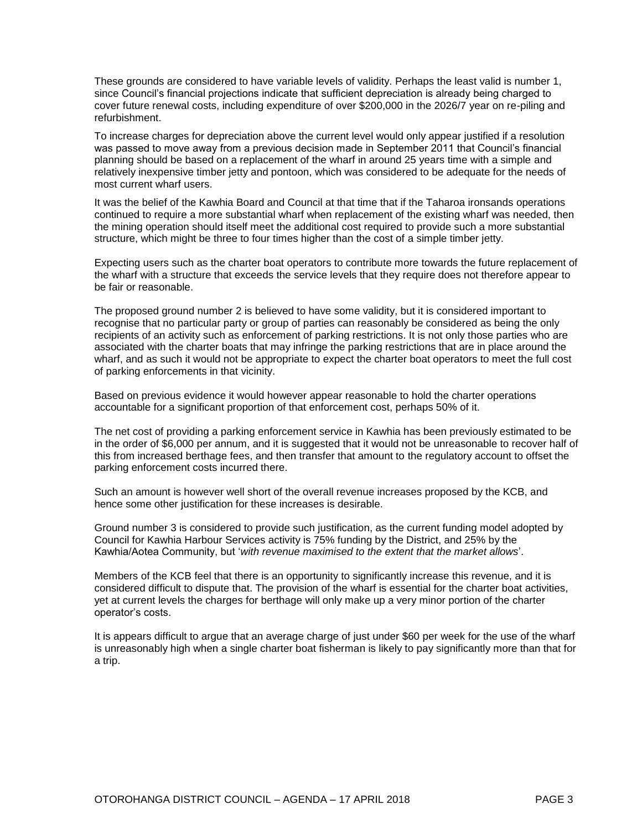These grounds are considered to have variable levels of validity. Perhaps the least valid is number 1, since Council's financial projections indicate that sufficient depreciation is already being charged to cover future renewal costs, including expenditure of over \$200,000 in the 2026/7 year on re-piling and refurbishment.

To increase charges for depreciation above the current level would only appear justified if a resolution was passed to move away from a previous decision made in September 2011 that Council's financial planning should be based on a replacement of the wharf in around 25 years time with a simple and relatively inexpensive timber jetty and pontoon, which was considered to be adequate for the needs of most current wharf users.

It was the belief of the Kawhia Board and Council at that time that if the Taharoa ironsands operations continued to require a more substantial wharf when replacement of the existing wharf was needed, then the mining operation should itself meet the additional cost required to provide such a more substantial structure, which might be three to four times higher than the cost of a simple timber jetty.

Expecting users such as the charter boat operators to contribute more towards the future replacement of the wharf with a structure that exceeds the service levels that they require does not therefore appear to be fair or reasonable.

The proposed ground number 2 is believed to have some validity, but it is considered important to recognise that no particular party or group of parties can reasonably be considered as being the only recipients of an activity such as enforcement of parking restrictions. It is not only those parties who are associated with the charter boats that may infringe the parking restrictions that are in place around the wharf, and as such it would not be appropriate to expect the charter boat operators to meet the full cost of parking enforcements in that vicinity.

Based on previous evidence it would however appear reasonable to hold the charter operations accountable for a significant proportion of that enforcement cost, perhaps 50% of it.

The net cost of providing a parking enforcement service in Kawhia has been previously estimated to be in the order of \$6,000 per annum, and it is suggested that it would not be unreasonable to recover half of this from increased berthage fees, and then transfer that amount to the regulatory account to offset the parking enforcement costs incurred there.

Such an amount is however well short of the overall revenue increases proposed by the KCB, and hence some other justification for these increases is desirable.

Ground number 3 is considered to provide such justification, as the current funding model adopted by Council for Kawhia Harbour Services activity is 75% funding by the District, and 25% by the Kawhia/Aotea Community, but '*with revenue maximised to the extent that the market allows*'.

Members of the KCB feel that there is an opportunity to significantly increase this revenue, and it is considered difficult to dispute that. The provision of the wharf is essential for the charter boat activities, yet at current levels the charges for berthage will only make up a very minor portion of the charter operator's costs.

It is appears difficult to argue that an average charge of just under \$60 per week for the use of the wharf is unreasonably high when a single charter boat fisherman is likely to pay significantly more than that for a trip.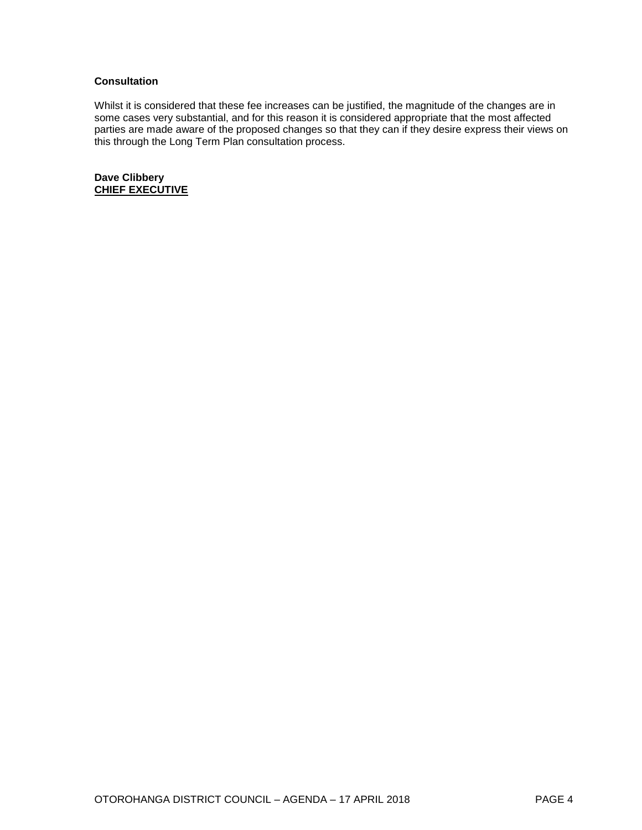#### **Consultation**

Whilst it is considered that these fee increases can be justified, the magnitude of the changes are in some cases very substantial, and for this reason it is considered appropriate that the most affected parties are made aware of the proposed changes so that they can if they desire express their views on this through the Long Term Plan consultation process.

**Dave Clibbery CHIEF EXECUTIVE**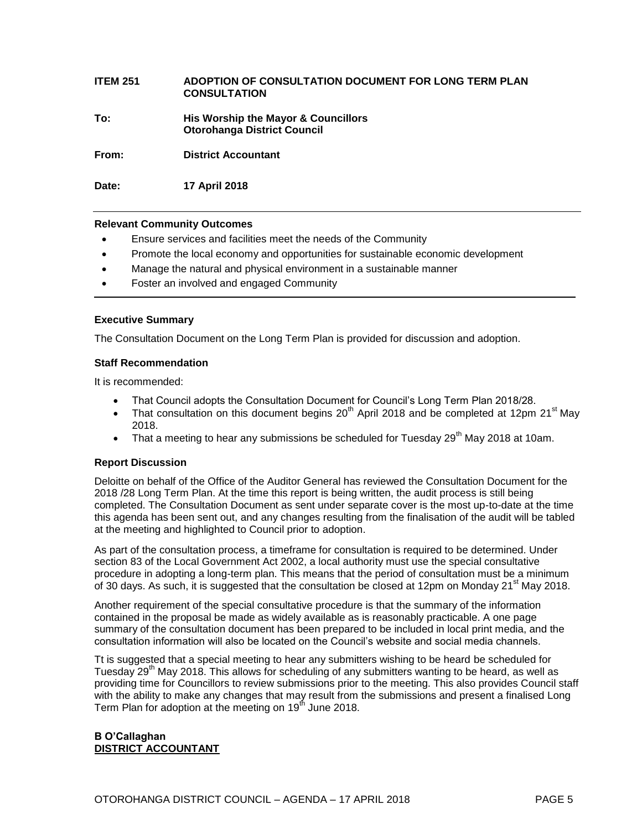## **ITEM 251 ADOPTION OF CONSULTATION DOCUMENT FOR LONG TERM PLAN CONSULTATION To: His Worship the Mayor & Councillors Otorohanga District Council From: District Accountant**

**Date: 17 April 2018**

#### **Relevant Community Outcomes**

- Ensure services and facilities meet the needs of the Community
- Promote the local economy and opportunities for sustainable economic development
- Manage the natural and physical environment in a sustainable manner
- Foster an involved and engaged Community

#### **Executive Summary**

The Consultation Document on the Long Term Plan is provided for discussion and adoption.

#### **Staff Recommendation**

It is recommended:

- That Council adopts the Consultation Document for Council's Long Term Plan 2018/28.
- That consultation on this document begins  $20<sup>th</sup>$  April 2018 and be completed at 12pm 21<sup>st</sup> May 2018.
- That a meeting to hear any submissions be scheduled for Tuesday 29<sup>th</sup> May 2018 at 10am.

#### **Report Discussion**

Deloitte on behalf of the Office of the Auditor General has reviewed the Consultation Document for the 2018 /28 Long Term Plan. At the time this report is being written, the audit process is still being completed. The Consultation Document as sent under separate cover is the most up-to-date at the time this agenda has been sent out, and any changes resulting from the finalisation of the audit will be tabled at the meeting and highlighted to Council prior to adoption.

As part of the consultation process, a timeframe for consultation is required to be determined. Under section 83 of the Local Government Act 2002, a local authority must use the special consultative procedure in adopting a long-term plan. This means that the period of consultation must be a minimum of 30 days. As such, it is suggested that the consultation be closed at 12pm on Monday 21<sup>st</sup> May 2018.

Another requirement of the special consultative procedure is that the summary of the information contained in the proposal be made as widely available as is reasonably practicable. A one page summary of the consultation document has been prepared to be included in local print media, and the consultation information will also be located on the Council's website and social media channels.

Tt is suggested that a special meeting to hear any submitters wishing to be heard be scheduled for Tuesday 29<sup>th</sup> May 2018. This allows for scheduling of any submitters wanting to be heard, as well as providing time for Councillors to review submissions prior to the meeting. This also provides Council staff with the ability to make any changes that may result from the submissions and present a finalised Long Term Plan for adoption at the meeting on 19<sup>th</sup> June 2018.

#### **B O'Callaghan DISTRICT ACCOUNTANT**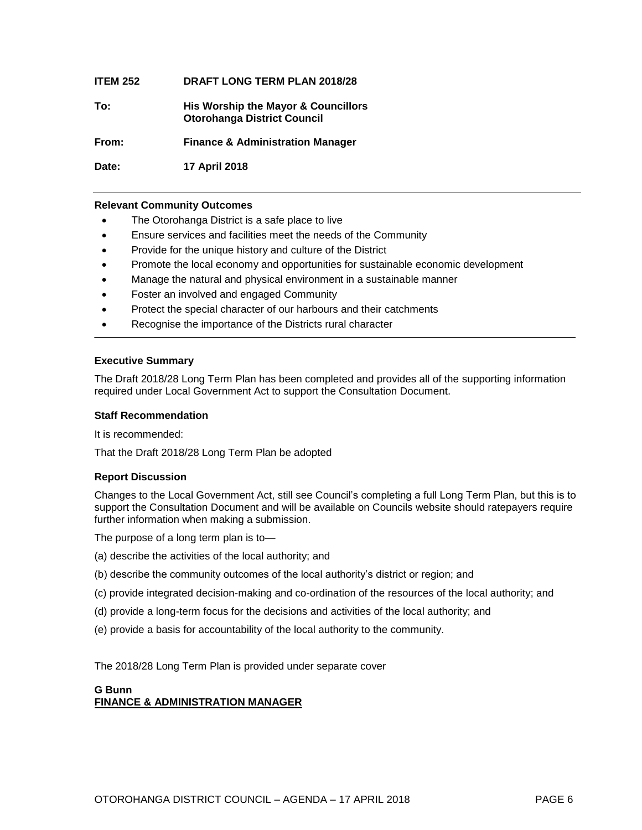| <b>ITEM 252</b> | <b>DRAFT LONG TERM PLAN 2018/28</b>                                       |
|-----------------|---------------------------------------------------------------------------|
| To:             | His Worship the Mayor & Councillors<br><b>Otorohanga District Council</b> |
| From:           | <b>Finance &amp; Administration Manager</b>                               |
| Date:           | <b>17 April 2018</b>                                                      |

- The Otorohanga District is a safe place to live
- Ensure services and facilities meet the needs of the Community
- Provide for the unique history and culture of the District
- Promote the local economy and opportunities for sustainable economic development
- Manage the natural and physical environment in a sustainable manner
- Foster an involved and engaged Community
- Protect the special character of our harbours and their catchments
- Recognise the importance of the Districts rural character

#### **Executive Summary**

The Draft 2018/28 Long Term Plan has been completed and provides all of the supporting information required under Local Government Act to support the Consultation Document.

#### **Staff Recommendation**

It is recommended:

That the Draft 2018/28 Long Term Plan be adopted

#### **Report Discussion**

Changes to the Local Government Act, still see Council's completing a full Long Term Plan, but this is to support the Consultation Document and will be available on Councils website should ratepayers require further information when making a submission.

The purpose of a long term plan is to—

- (a) describe the activities of the local authority; and
- (b) describe the community outcomes of the local authority's district or region; and
- (c) provide integrated decision-making and co-ordination of the resources of the local authority; and
- (d) provide a long-term focus for the decisions and activities of the local authority; and
- (e) provide a basis for accountability of the local authority to the community.

The 2018/28 Long Term Plan is provided under separate cover

#### **G Bunn FINANCE & ADMINISTRATION MANAGER**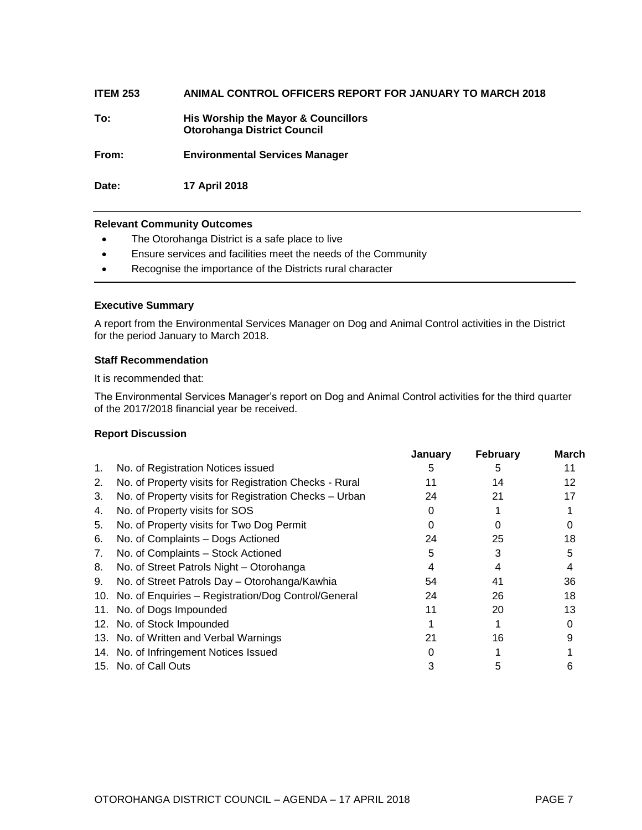| <b>ITEM 253</b> | ANIMAL CONTROL OFFICERS REPORT FOR JANUARY TO MARCH 2018                  |
|-----------------|---------------------------------------------------------------------------|
| To:             | His Worship the Mayor & Councillors<br><b>Otorohanga District Council</b> |
| From:           | <b>Environmental Services Manager</b>                                     |
| Date:           | 17 April 2018                                                             |

- The Otorohanga District is a safe place to live
- Ensure services and facilities meet the needs of the Community
- Recognise the importance of the Districts rural character

#### **Executive Summary**

A report from the Environmental Services Manager on Dog and Animal Control activities in the District for the period January to March 2018.

#### **Staff Recommendation**

It is recommended that:

The Environmental Services Manager's report on Dog and Animal Control activities for the third quarter of the 2017/2018 financial year be received.

#### **Report Discussion**

|    |                                                         | January | February | March |
|----|---------------------------------------------------------|---------|----------|-------|
| 1. | No. of Registration Notices issued                      | h       | h        | 11    |
| 2. | No. of Property visits for Registration Checks - Rural  | 11      | 14       | 12    |
| 3. | No. of Property visits for Registration Checks - Urban  | 24      | 21       | 17    |
| 4. | No. of Property visits for SOS                          |         |          |       |
| 5. | No. of Property visits for Two Dog Permit               |         |          |       |
| 6. | No. of Complaints - Dogs Actioned                       | 24      | 25       | 18    |
| 7. | No. of Complaints - Stock Actioned                      | 5       | 3        | 5     |
| 8. | No. of Street Patrols Night - Otorohanga                |         |          |       |
| 9. | No. of Street Patrols Day - Otorohanga/Kawhia           | 54      | 41       | 36    |
|    | 10. No. of Enquiries - Registration/Dog Control/General | 24      | 26       | 18    |
|    | 11. No. of Dogs Impounded                               | 11      | 20       | 13    |
|    | 12. No. of Stock Impounded                              |         |          |       |
|    | 13. No. of Written and Verbal Warnings                  | 21      | 16       |       |
|    | 14. No. of Infringement Notices Issued                  |         |          |       |
|    | 15. No. of Call Outs                                    |         |          |       |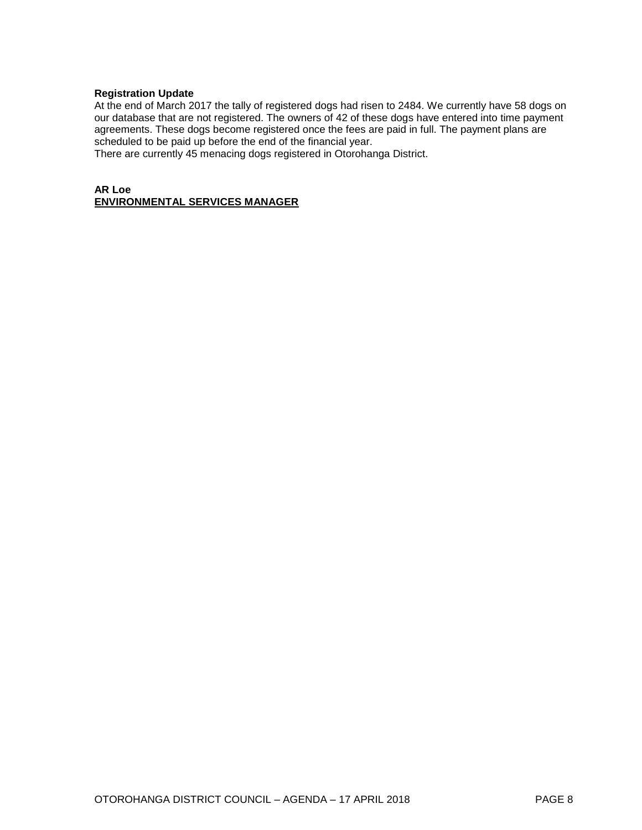#### **Registration Update**

At the end of March 2017 the tally of registered dogs had risen to 2484. We currently have 58 dogs on our database that are not registered. The owners of 42 of these dogs have entered into time payment agreements. These dogs become registered once the fees are paid in full. The payment plans are scheduled to be paid up before the end of the financial year.

There are currently 45 menacing dogs registered in Otorohanga District.

#### **AR Loe ENVIRONMENTAL SERVICES MANAGER**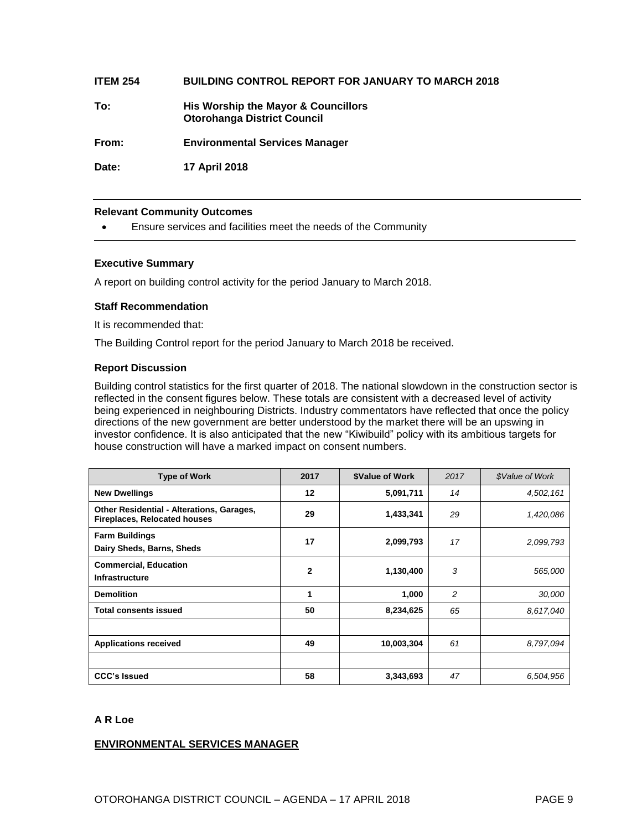#### **ITEM 254 BUILDING CONTROL REPORT FOR JANUARY TO MARCH 2018**

**To: His Worship the Mayor & Councillors Otorohanga District Council**

**From: Environmental Services Manager**

**Date: 17 April 2018**

#### **Relevant Community Outcomes**

Ensure services and facilities meet the needs of the Community

#### **Executive Summary**

A report on building control activity for the period January to March 2018.

#### **Staff Recommendation**

It is recommended that:

The Building Control report for the period January to March 2018 be received.

#### **Report Discussion**

Building control statistics for the first quarter of 2018. The national slowdown in the construction sector is reflected in the consent figures below. These totals are consistent with a decreased level of activity being experienced in neighbouring Districts. Industry commentators have reflected that once the policy directions of the new government are better understood by the market there will be an upswing in investor confidence. It is also anticipated that the new "Kiwibuild" policy with its ambitious targets for house construction will have a marked impact on consent numbers.

| <b>Type of Work</b>                                                                     | 2017         | \$Value of Work | 2017           | \$Value of Work |
|-----------------------------------------------------------------------------------------|--------------|-----------------|----------------|-----------------|
| <b>New Dwellings</b>                                                                    | 12           | 5,091,711       | 14             | 4,502,161       |
| <b>Other Residential - Alterations, Garages,</b><br><b>Fireplaces, Relocated houses</b> | 29           | 1,433,341       | 29             | 1,420,086       |
| <b>Farm Buildings</b><br>Dairy Sheds, Barns, Sheds                                      | 17           | 2,099,793       | 17             | 2,099,793       |
| <b>Commercial, Education</b><br><b>Infrastructure</b>                                   | $\mathbf{2}$ | 1,130,400       | 3              | 565,000         |
| <b>Demolition</b>                                                                       | 1            | 1,000           | $\overline{c}$ | 30,000          |
| <b>Total consents issued</b>                                                            | 50           | 8,234,625       | 65             | 8.617.040       |
|                                                                                         |              |                 |                |                 |
| <b>Applications received</b>                                                            | 49           | 10,003,304      | 61             | 8,797,094       |
|                                                                                         |              |                 |                |                 |
| <b>CCC's Issued</b>                                                                     | 58           | 3,343,693       | 47             | 6,504,956       |

#### **A R Loe**

#### **ENVIRONMENTAL SERVICES MANAGER**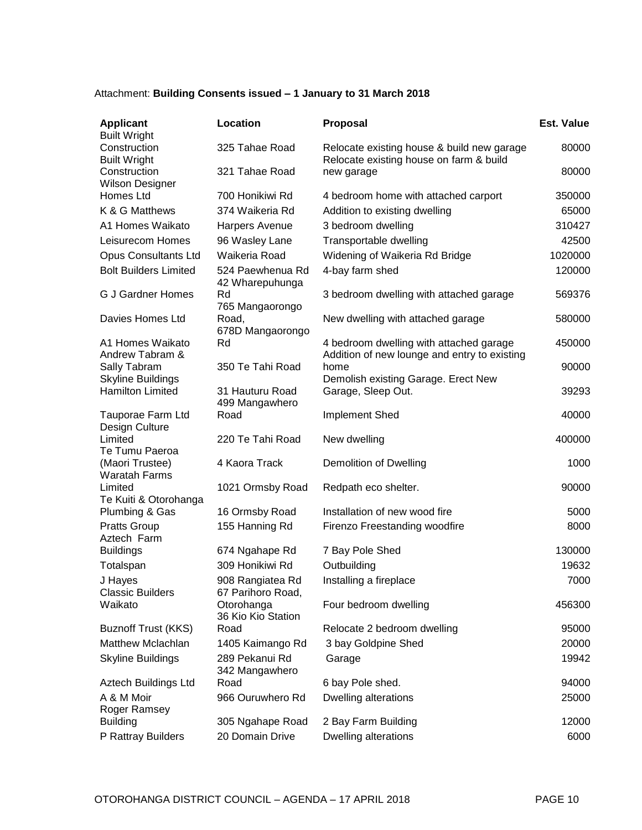#### Attachment: **Building Consents issued – 1 January to 31 March 2018**

| <b>Applicant</b><br><b>Built Wright</b>             | Location                              | <b>Proposal</b>                                                                         | <b>Est. Value</b> |
|-----------------------------------------------------|---------------------------------------|-----------------------------------------------------------------------------------------|-------------------|
| Construction<br><b>Built Wright</b>                 | 325 Tahae Road                        | Relocate existing house & build new garage<br>Relocate existing house on farm & build   | 80000             |
| Construction<br><b>Wilson Designer</b>              | 321 Tahae Road                        | new garage                                                                              | 80000             |
| Homes Ltd                                           | 700 Honikiwi Rd                       | 4 bedroom home with attached carport                                                    | 350000            |
| K & G Matthews                                      | 374 Waikeria Rd                       | Addition to existing dwelling                                                           | 65000             |
| A1 Homes Waikato                                    | Harpers Avenue                        | 3 bedroom dwelling                                                                      | 310427            |
| Leisurecom Homes                                    | 96 Wasley Lane                        | Transportable dwelling                                                                  | 42500             |
| <b>Opus Consultants Ltd</b>                         | Waikeria Road                         | Widening of Waikeria Rd Bridge                                                          | 1020000           |
| <b>Bolt Builders Limited</b>                        | 524 Paewhenua Rd<br>42 Wharepuhunga   | 4-bay farm shed                                                                         | 120000            |
| <b>G J Gardner Homes</b>                            | Rd<br>765 Mangaorongo                 | 3 bedroom dwelling with attached garage                                                 | 569376            |
| Davies Homes Ltd                                    | Road,<br>678D Mangaorongo             | New dwelling with attached garage                                                       | 580000            |
| A1 Homes Waikato<br>Andrew Tabram &                 | Rd                                    | 4 bedroom dwelling with attached garage<br>Addition of new lounge and entry to existing | 450000            |
| Sally Tabram                                        | 350 Te Tahi Road                      | home                                                                                    | 90000             |
| <b>Skyline Buildings</b><br><b>Hamilton Limited</b> | 31 Hauturu Road<br>499 Mangawhero     | Demolish existing Garage. Erect New<br>Garage, Sleep Out.                               | 39293             |
| Tauporae Farm Ltd<br>Design Culture                 | Road                                  | Implement Shed                                                                          | 40000             |
| Limited<br>Te Tumu Paeroa                           | 220 Te Tahi Road                      | New dwelling                                                                            | 400000            |
| (Maori Trustee)<br><b>Waratah Farms</b>             | 4 Kaora Track                         | <b>Demolition of Dwelling</b>                                                           | 1000              |
| Limited<br>Te Kuiti & Otorohanga                    | 1021 Ormsby Road                      | Redpath eco shelter.                                                                    | 90000             |
| Plumbing & Gas                                      | 16 Ormsby Road                        | Installation of new wood fire                                                           | 5000              |
| <b>Pratts Group</b><br>Aztech Farm                  | 155 Hanning Rd                        | Firenzo Freestanding woodfire                                                           | 8000              |
| <b>Buildings</b>                                    | 674 Ngahape Rd                        | 7 Bay Pole Shed                                                                         | 130000            |
| Totalspan                                           | 309 Honikiwi Rd                       | Outbuilding                                                                             | 19632             |
| J Hayes<br><b>Classic Builders</b>                  | 908 Rangiatea Rd<br>67 Parihoro Road, | Installing a fireplace                                                                  | 7000              |
| Waikato                                             | Otorohanga<br>36 Kio Kio Station      | Four bedroom dwelling                                                                   | 456300            |
| <b>Buznoff Trust (KKS)</b>                          | Road                                  | Relocate 2 bedroom dwelling                                                             | 95000             |
| Matthew Mclachlan                                   | 1405 Kaimango Rd                      | 3 bay Goldpine Shed                                                                     | 20000             |
| <b>Skyline Buildings</b>                            | 289 Pekanui Rd<br>342 Mangawhero      | Garage                                                                                  | 19942             |
| Aztech Buildings Ltd                                | Road                                  | 6 bay Pole shed.                                                                        | 94000             |
| A & M Moir<br>Roger Ramsey                          | 966 Ouruwhero Rd                      | Dwelling alterations                                                                    | 25000             |
| <b>Building</b>                                     | 305 Ngahape Road                      | 2 Bay Farm Building                                                                     | 12000             |
| P Rattray Builders                                  | 20 Domain Drive                       | Dwelling alterations                                                                    | 6000              |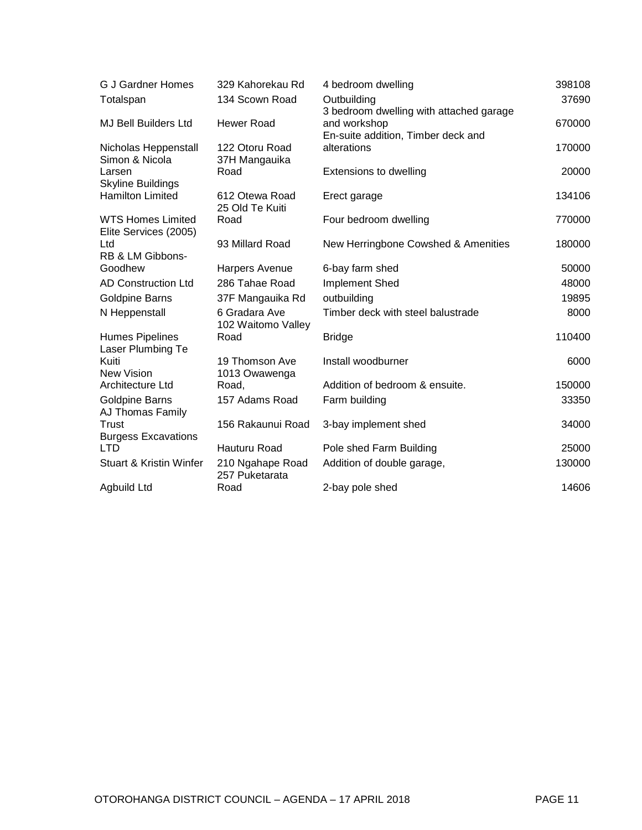| <b>G J Gardner Homes</b>                 | 329 Kahorekau Rd                    | 4 bedroom dwelling                      | 398108 |
|------------------------------------------|-------------------------------------|-----------------------------------------|--------|
| Totalspan                                | 134 Scown Road                      | Outbuilding                             | 37690  |
|                                          |                                     | 3 bedroom dwelling with attached garage |        |
| <b>MJ Bell Builders Ltd</b>              | Hewer Road                          | and workshop                            | 670000 |
|                                          |                                     | En-suite addition, Timber deck and      |        |
| Nicholas Heppenstall<br>Simon & Nicola   | 122 Otoru Road<br>37H Mangauika     | alterations                             | 170000 |
| Larsen                                   | Road                                | Extensions to dwelling                  | 20000  |
| <b>Skyline Buildings</b>                 |                                     |                                         |        |
| <b>Hamilton Limited</b>                  | 612 Otewa Road                      | Erect garage                            | 134106 |
|                                          | 25 Old Te Kuiti                     |                                         |        |
| <b>WTS Homes Limited</b>                 | Road                                | Four bedroom dwelling                   | 770000 |
| Elite Services (2005)                    |                                     |                                         |        |
| Ltd                                      | 93 Millard Road                     | New Herringbone Cowshed & Amenities     | 180000 |
| RB & LM Gibbons-<br>Goodhew              | Harpers Avenue                      | 6-bay farm shed                         | 50000  |
| AD Construction Ltd                      | 286 Tahae Road                      |                                         |        |
|                                          |                                     | Implement Shed                          | 48000  |
| Goldpine Barns                           | 37F Mangauika Rd                    | outbuilding                             | 19895  |
| N Heppenstall                            | 6 Gradara Ave<br>102 Waitomo Valley | Timber deck with steel balustrade       | 8000   |
| <b>Humes Pipelines</b>                   | Road                                | <b>Bridge</b>                           | 110400 |
| Laser Plumbing Te                        |                                     |                                         |        |
| Kuiti                                    | 19 Thomson Ave                      | Install woodburner                      | 6000   |
| <b>New Vision</b>                        | 1013 Owawenga                       |                                         |        |
| Architecture Ltd                         | Road,                               | Addition of bedroom & ensuite.          | 150000 |
| <b>Goldpine Barns</b>                    | 157 Adams Road                      | Farm building                           | 33350  |
| AJ Thomas Family                         |                                     |                                         |        |
| Trust                                    | 156 Rakaunui Road                   | 3-bay implement shed                    | 34000  |
| <b>Burgess Excavations</b><br><b>LTD</b> | Hauturu Road                        | Pole shed Farm Building                 | 25000  |
|                                          |                                     |                                         |        |
| <b>Stuart &amp; Kristin Winfer</b>       | 210 Ngahape Road<br>257 Puketarata  | Addition of double garage,              | 130000 |
| Agbuild Ltd                              | Road                                | 2-bay pole shed                         | 14606  |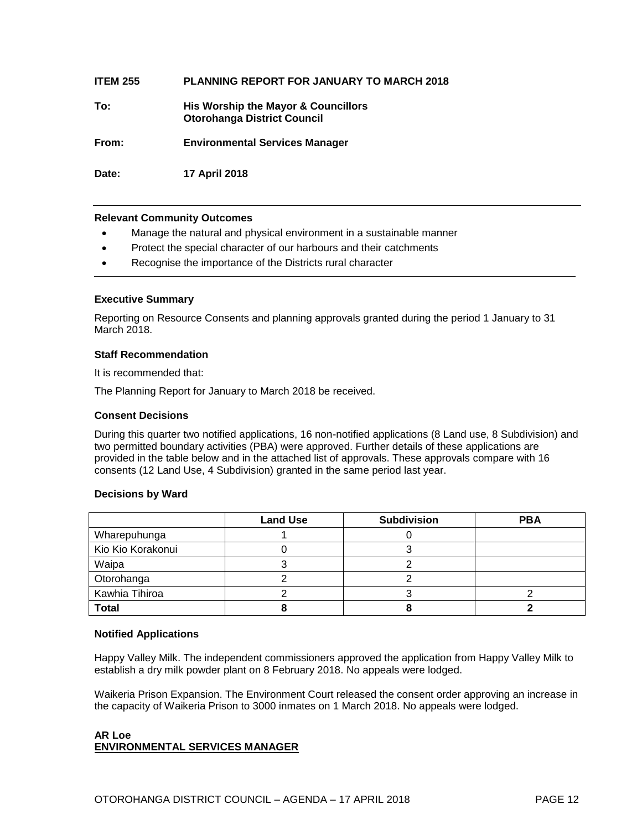#### **ITEM 255 PLANNING REPORT FOR JANUARY TO MARCH 2018**

**To: His Worship the Mayor & Councillors Otorohanga District Council**

**From: Environmental Services Manager**

**Date: 17 April 2018**

#### **Relevant Community Outcomes**

- Manage the natural and physical environment in a sustainable manner
- Protect the special character of our harbours and their catchments
- Recognise the importance of the Districts rural character

#### **Executive Summary**

Reporting on Resource Consents and planning approvals granted during the period 1 January to 31 March 2018.

#### **Staff Recommendation**

It is recommended that:

The Planning Report for January to March 2018 be received.

#### **Consent Decisions**

During this quarter two notified applications, 16 non-notified applications (8 Land use, 8 Subdivision) and two permitted boundary activities (PBA) were approved. Further details of these applications are provided in the table below and in the attached list of approvals. These approvals compare with 16 consents (12 Land Use, 4 Subdivision) granted in the same period last year.

#### **Decisions by Ward**

|                   | <b>Land Use</b> | <b>Subdivision</b> | <b>PBA</b> |
|-------------------|-----------------|--------------------|------------|
| Wharepuhunga      |                 |                    |            |
| Kio Kio Korakonui |                 |                    |            |
| Waipa             |                 |                    |            |
| Otorohanga        |                 |                    |            |
| Kawhia Tihiroa    |                 |                    |            |
| <b>Total</b>      |                 |                    |            |

#### **Notified Applications**

Happy Valley Milk. The independent commissioners approved the application from Happy Valley Milk to establish a dry milk powder plant on 8 February 2018. No appeals were lodged.

Waikeria Prison Expansion. The Environment Court released the consent order approving an increase in the capacity of Waikeria Prison to 3000 inmates on 1 March 2018. No appeals were lodged.

#### **AR Loe ENVIRONMENTAL SERVICES MANAGER**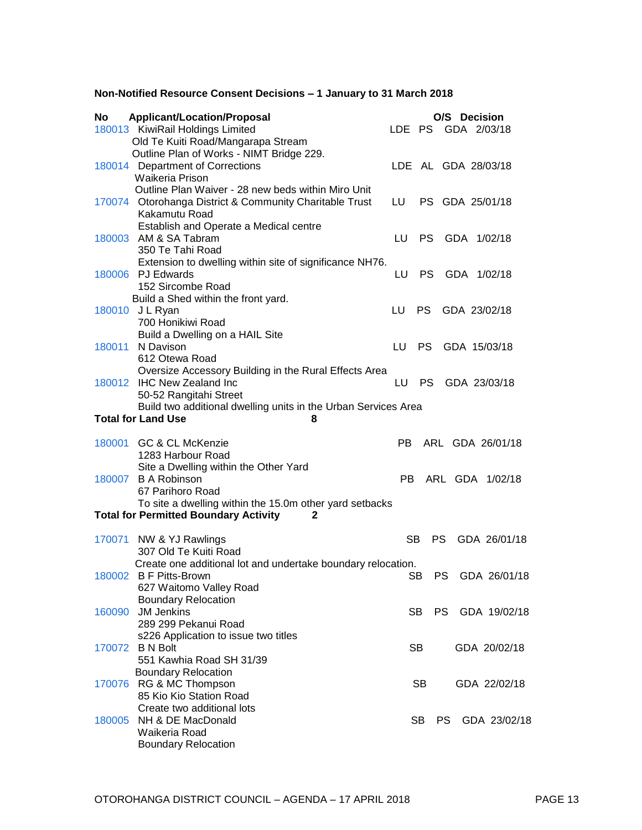#### **Non-Notified Resource Consent Decisions – 1 January to 31 March 2018**

| <b>No</b> | <b>Applicant/Location/Proposal</b>                                                    |     |           | O/S Decision        |                  |
|-----------|---------------------------------------------------------------------------------------|-----|-----------|---------------------|------------------|
|           | 180013 KiwiRail Holdings Limited                                                      |     |           | LDE PS GDA 2/03/18  |                  |
|           | Old Te Kuiti Road/Mangarapa Stream<br>Outline Plan of Works - NIMT Bridge 229.        |     |           |                     |                  |
|           | 180014 Department of Corrections                                                      |     |           | LDE AL GDA 28/03/18 |                  |
|           | Waikeria Prison                                                                       |     |           |                     |                  |
|           | Outline Plan Waiver - 28 new beds within Miro Unit                                    |     |           |                     |                  |
|           | 170074 Otorohanga District & Community Charitable Trust                               | LU  |           | PS GDA 25/01/18     |                  |
|           | Kakamutu Road<br>Establish and Operate a Medical centre                               |     |           |                     |                  |
|           | 180003 AM & SA Tabram                                                                 | LU. |           | PS GDA 1/02/18      |                  |
|           | 350 Te Tahi Road                                                                      |     |           |                     |                  |
|           | Extension to dwelling within site of significance NH76.                               |     |           |                     |                  |
|           | 180006 PJ Edwards                                                                     | LU  | PS.       | GDA 1/02/18         |                  |
|           | 152 Sircombe Road<br>Build a Shed within the front yard.                              |     |           |                     |                  |
|           | 180010 J L Ryan                                                                       | LU. | PS.       |                     | GDA 23/02/18     |
|           | 700 Honikiwi Road                                                                     |     |           |                     |                  |
|           | Build a Dwelling on a HAIL Site                                                       |     |           |                     |                  |
| 180011    | N Davison                                                                             | LU  | PS -      |                     | GDA 15/03/18     |
|           | 612 Otewa Road<br>Oversize Accessory Building in the Rural Effects Area               |     |           |                     |                  |
|           | 180012 IHC New Zealand Inc                                                            | LU  | <b>PS</b> |                     | GDA 23/03/18     |
|           | 50-52 Rangitahi Street                                                                |     |           |                     |                  |
|           | Build two additional dwelling units in the Urban Services Area                        |     |           |                     |                  |
|           | <b>Total for Land Use</b><br>8                                                        |     |           |                     |                  |
|           | 180001 GC & CL McKenzie                                                               | PB. |           |                     | ARL GDA 26/01/18 |
|           | 1283 Harbour Road                                                                     |     |           |                     |                  |
|           | Site a Dwelling within the Other Yard                                                 |     |           |                     |                  |
|           | 180007 B A Robinson                                                                   | PB. |           |                     | ARL GDA 1/02/18  |
|           | 67 Parihoro Road<br>To site a dwelling within the 15.0m other yard setbacks           |     |           |                     |                  |
|           | <b>Total for Permitted Boundary Activity</b>                                          |     |           |                     |                  |
|           |                                                                                       |     |           |                     |                  |
|           | 170071 NW & YJ Rawlings                                                               | SВ  |           |                     | PS GDA 26/01/18  |
|           | 307 Old Te Kuiti Road<br>Create one additional lot and undertake boundary relocation. |     |           |                     |                  |
|           | 180002 B F Pitts-Brown                                                                |     | SB        |                     | PS GDA 26/01/18  |
|           | 627 Waitomo Valley Road                                                               |     |           |                     |                  |
|           | <b>Boundary Relocation</b>                                                            |     |           |                     |                  |
| 160090    | <b>JM Jenkins</b><br>289 299 Pekanui Road                                             |     | SB.       |                     | PS GDA 19/02/18  |
|           | s226 Application to issue two titles                                                  |     |           |                     |                  |
|           | 170072 B N Bolt                                                                       |     | <b>SB</b> |                     | GDA 20/02/18     |
|           | 551 Kawhia Road SH 31/39                                                              |     |           |                     |                  |
|           | <b>Boundary Relocation</b>                                                            |     |           |                     |                  |
|           | 170076 RG & MC Thompson<br>85 Kio Kio Station Road                                    |     | SB        |                     | GDA 22/02/18     |
|           | Create two additional lots                                                            |     |           |                     |                  |
| 180005    | NH & DE MacDonald                                                                     |     | SB.       | PS.                 | GDA 23/02/18     |
|           | Waikeria Road                                                                         |     |           |                     |                  |
|           | <b>Boundary Relocation</b>                                                            |     |           |                     |                  |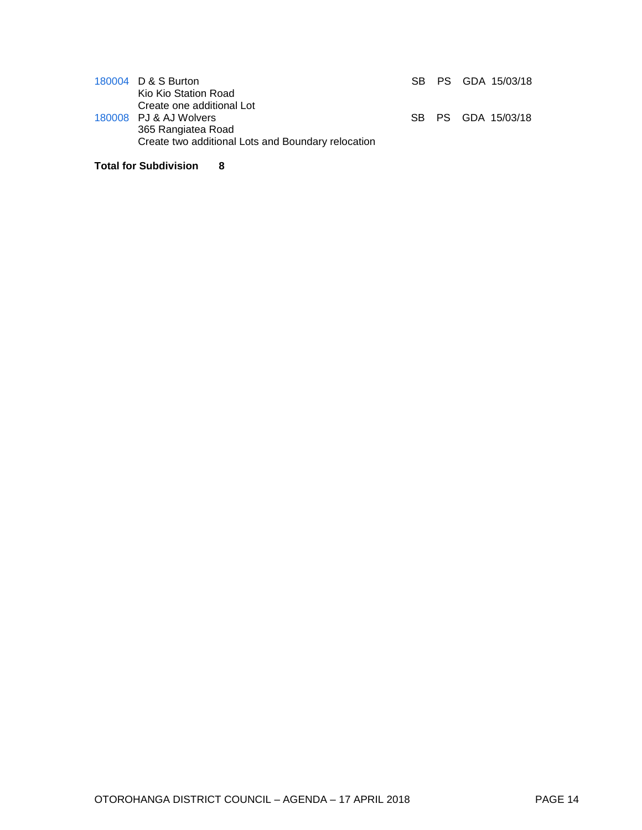| 180004 D & S Burton<br>Kio Kio Station Road                                                                                     |  | SB PS GDA 15/03/18 |
|---------------------------------------------------------------------------------------------------------------------------------|--|--------------------|
| Create one additional Lot<br>180008 PJ & AJ Wolvers<br>365 Rangiatea Road<br>Create two additional Lots and Boundary relocation |  | SB PS GDA 15/03/18 |

#### **Total for Subdivision 8**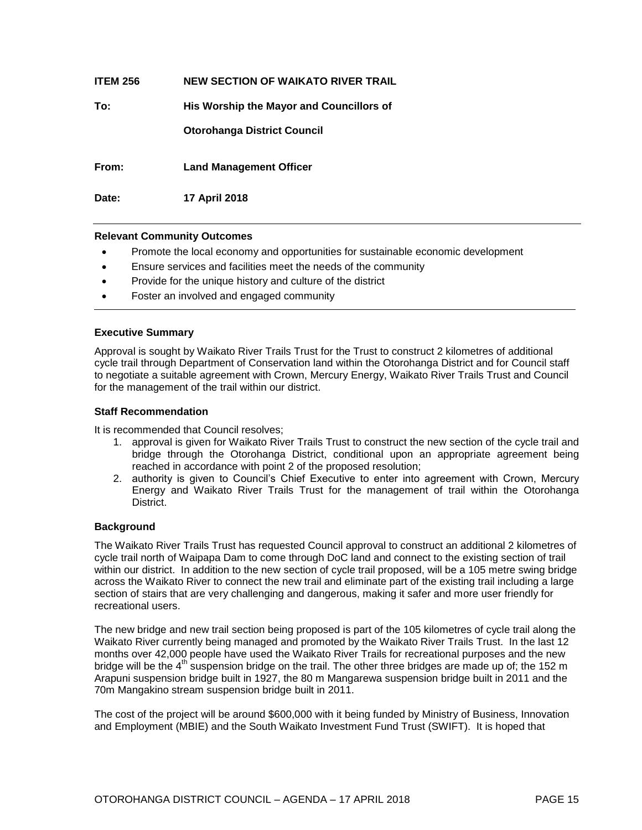| <b>ITEM 256</b> | NEW SECTION OF WAIKATO RIVER TRAIL       |
|-----------------|------------------------------------------|
| To:             | His Worship the Mayor and Councillors of |
|                 | <b>Otorohanga District Council</b>       |
| From:           | <b>Land Management Officer</b>           |
| Date:           | <b>17 April 2018</b>                     |

- Promote the local economy and opportunities for sustainable economic development
- Ensure services and facilities meet the needs of the community
- Provide for the unique history and culture of the district
- Foster an involved and engaged community

#### **Executive Summary**

Approval is sought by Waikato River Trails Trust for the Trust to construct 2 kilometres of additional cycle trail through Department of Conservation land within the Otorohanga District and for Council staff to negotiate a suitable agreement with Crown, Mercury Energy, Waikato River Trails Trust and Council for the management of the trail within our district.

#### **Staff Recommendation**

It is recommended that Council resolves;

- 1. approval is given for Waikato River Trails Trust to construct the new section of the cycle trail and bridge through the Otorohanga District, conditional upon an appropriate agreement being reached in accordance with point 2 of the proposed resolution;
- 2. authority is given to Council's Chief Executive to enter into agreement with Crown, Mercury Energy and Waikato River Trails Trust for the management of trail within the Otorohanga District.

#### **Background**

The Waikato River Trails Trust has requested Council approval to construct an additional 2 kilometres of cycle trail north of Waipapa Dam to come through DoC land and connect to the existing section of trail within our district. In addition to the new section of cycle trail proposed, will be a 105 metre swing bridge across the Waikato River to connect the new trail and eliminate part of the existing trail including a large section of stairs that are very challenging and dangerous, making it safer and more user friendly for recreational users.

The new bridge and new trail section being proposed is part of the 105 kilometres of cycle trail along the Waikato River currently being managed and promoted by the Waikato River Trails Trust. In the last 12 months over 42,000 people have used the Waikato River Trails for recreational purposes and the new bridge will be the 4<sup>th</sup> suspension bridge on the trail. The other three bridges are made up of; the 152 m Arapuni suspension bridge built in 1927, the 80 m Mangarewa suspension bridge built in 2011 and the 70m Mangakino stream suspension bridge built in 2011.

The cost of the project will be around \$600,000 with it being funded by Ministry of Business, Innovation and Employment (MBIE) and the South Waikato Investment Fund Trust (SWIFT). It is hoped that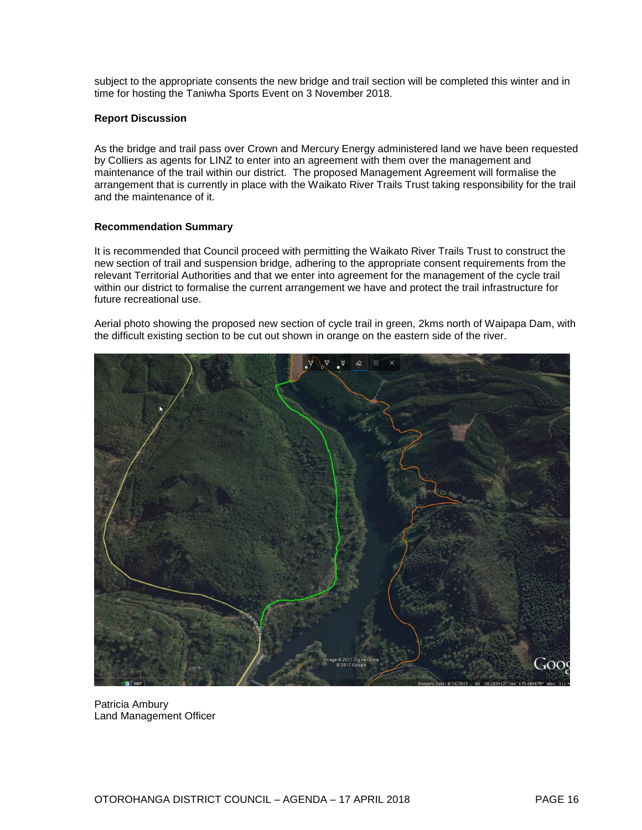subject to the appropriate consents the new bridge and trail section will be completed this winter and in time for hosting the Taniwha Sports Event on 3 November 2018.

#### **Report Discussion**

As the bridge and trail pass over Crown and Mercury Energy administered land we have been requested by Colliers as agents for LINZ to enter into an agreement with them over the management and maintenance of the trail within our district. The proposed Management Agreement will formalise the arrangement that is currently in place with the Waikato River Trails Trust taking responsibility for the trail and the maintenance of it.

#### **Recommendation Summary**

It is recommended that Council proceed with permitting the Waikato River Trails Trust to construct the new section of trail and suspension bridge, adhering to the appropriate consent requirements from the relevant Territorial Authorities and that we enter into agreement for the management of the cycle trail within our district to formalise the current arrangement we have and protect the trail infrastructure for future recreational use.

Aerial photo showing the proposed new section of cycle trail in green, 2kms north of Waipapa Dam, with the difficult existing section to be cut out shown in orange on the eastern side of the river.



Patricia Ambury Land Management Officer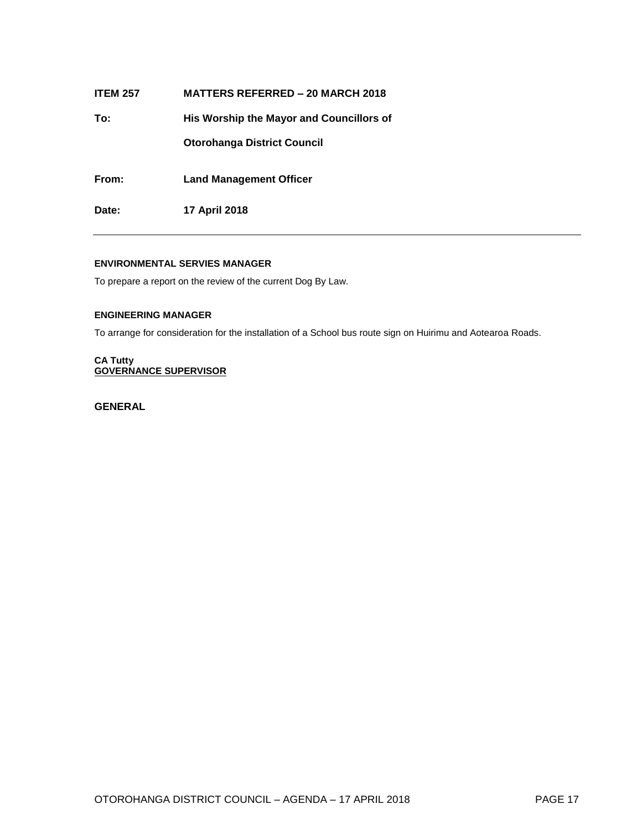| <b>ITEM 257</b> | <b>MATTERS REFERRED – 20 MARCH 2018</b>  |
|-----------------|------------------------------------------|
| To:             | His Worship the Mayor and Councillors of |
|                 | <b>Otorohanga District Council</b>       |
| From:           | <b>Land Management Officer</b>           |
| Date:           | <b>17 April 2018</b>                     |
|                 |                                          |

#### **ENVIRONMENTAL SERVIES MANAGER**

To prepare a report on the review of the current Dog By Law.

#### **ENGINEERING MANAGER**

To arrange for consideration for the installation of a School bus route sign on Huirimu and Aotearoa Roads.

#### **CA Tutty GOVERNANCE SUPERVISOR**

**GENERAL**